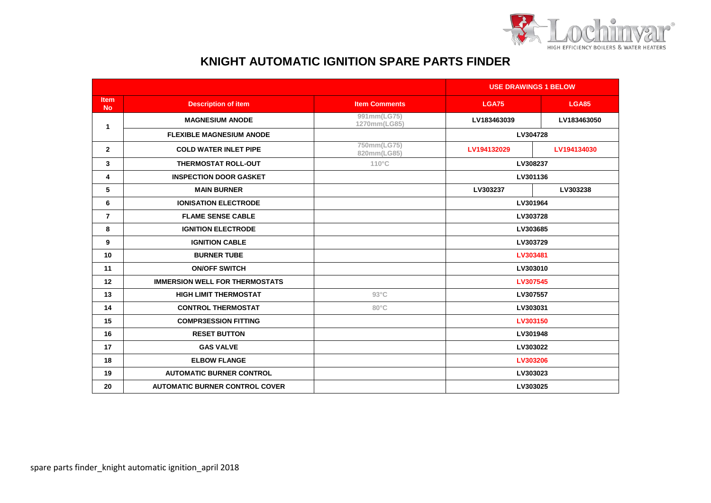

## **KNIGHT AUTOMATIC IGNITION SPARE PARTS FINDER**

|                          |                                       |                             | <b>USE DRAWINGS 1 BELOW</b> |              |
|--------------------------|---------------------------------------|-----------------------------|-----------------------------|--------------|
| <b>Item</b><br><b>No</b> | <b>Description of item</b>            | <b>Item Comments</b>        | <b>LGA75</b>                | <b>LGA85</b> |
| 1                        | <b>MAGNESIUM ANODE</b>                | 991mm(LG75)<br>1270mm(LG85) | LV183463039                 | LV183463050  |
|                          | <b>FLEXIBLE MAGNESIUM ANODE</b>       |                             | LV304728                    |              |
| $\mathbf{2}$             | <b>COLD WATER INLET PIPE</b>          | 750mm(LG75)<br>820mm(LG85)  | LV194132029                 | LV194134030  |
| 3                        | <b>THERMOSTAT ROLL-OUT</b>            | $110^{\circ}$ C             | LV308237                    |              |
| 4                        | <b>INSPECTION DOOR GASKET</b>         |                             | LV301136                    |              |
| 5                        | <b>MAIN BURNER</b>                    |                             | LV303237                    | LV303238     |
| 6                        | <b>IONISATION ELECTRODE</b>           |                             | LV301964                    |              |
| $\overline{7}$           | <b>FLAME SENSE CABLE</b>              |                             | LV303728                    |              |
| 8                        | <b>IGNITION ELECTRODE</b>             |                             | LV303685                    |              |
| 9                        | <b>IGNITION CABLE</b>                 |                             | LV303729                    |              |
| 10                       | <b>BURNER TUBE</b>                    |                             | LV303481                    |              |
| 11                       | <b>ON/OFF SWITCH</b>                  |                             | LV303010                    |              |
| 12                       | <b>IMMERSION WELL FOR THERMOSTATS</b> |                             | LV307545                    |              |
| 13                       | <b>HIGH LIMIT THERMOSTAT</b>          | $93^{\circ}$ C              | LV307557                    |              |
| 14                       | <b>CONTROL THERMOSTAT</b>             | $80^{\circ}$ C              | LV303031                    |              |
| 15                       | <b>COMPR3ESSION FITTING</b>           |                             | LV303150                    |              |
| 16                       | <b>RESET BUTTON</b>                   |                             | LV301948                    |              |
| 17                       | <b>GAS VALVE</b>                      |                             | LV303022                    |              |
| 18                       | <b>ELBOW FLANGE</b>                   |                             | LV303206                    |              |
| 19                       | <b>AUTOMATIC BURNER CONTROL</b>       |                             | LV303023                    |              |
| 20                       | <b>AUTOMATIC BURNER CONTROL COVER</b> |                             | LV303025                    |              |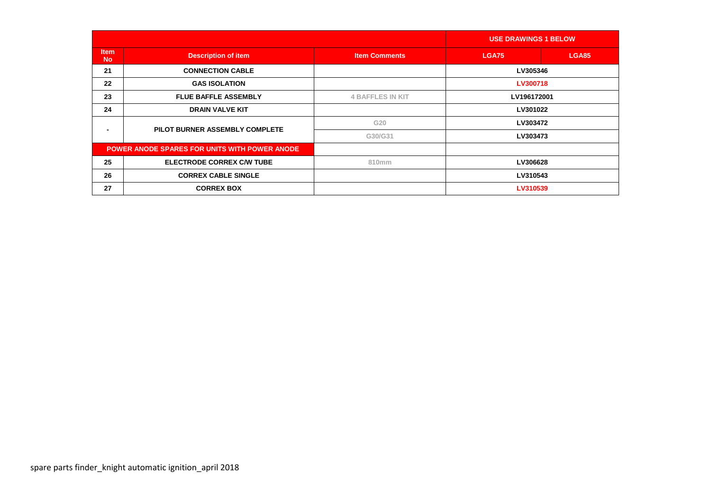|                          |                                                      |                         | <b>USE DRAWINGS 1 BELOW</b> |              |
|--------------------------|------------------------------------------------------|-------------------------|-----------------------------|--------------|
| <b>Item</b><br><b>No</b> | <b>Description of item</b>                           | <b>Item Comments</b>    | <b>LGA75</b>                | <b>LGA85</b> |
| 21                       | <b>CONNECTION CABLE</b>                              |                         | LV305346                    |              |
| 22                       | <b>GAS ISOLATION</b>                                 |                         | LV300718                    |              |
| 23                       | <b>FLUE BAFFLE ASSEMBLY</b>                          | <b>4 BAFFLES IN KIT</b> | LV196172001                 |              |
| 24                       | <b>DRAIN VALVE KIT</b>                               |                         | LV301022                    |              |
| -                        | PILOT BURNER ASSEMBLY COMPLETE                       | G20                     | LV303472                    |              |
|                          |                                                      | G30/G31                 | LV303473                    |              |
|                          | <b>POWER ANODE SPARES FOR UNITS WITH POWER ANODE</b> |                         |                             |              |
| 25                       | <b>ELECTRODE CORREX C/W TUBE</b>                     | 810mm                   | LV306628                    |              |
| 26                       | <b>CORREX CABLE SINGLE</b>                           |                         | LV310543                    |              |
| 27                       | <b>CORREX BOX</b>                                    |                         | LV310539                    |              |